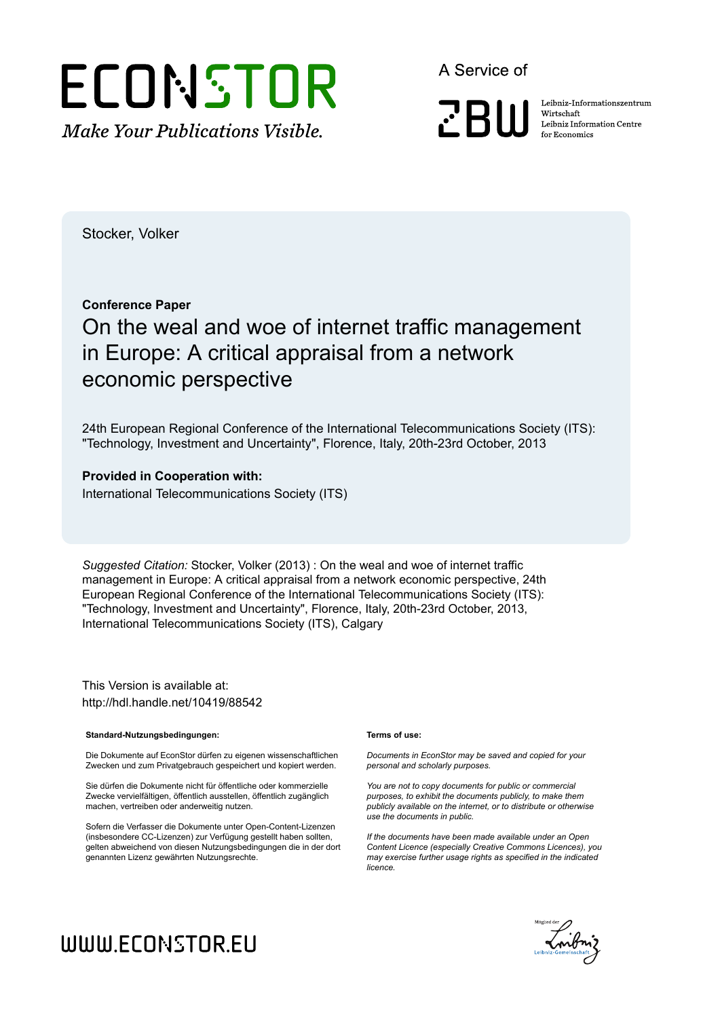# ECONSTOR **Make Your Publications Visible.**

A Service of

**ZBW** 

Leibniz Informationszentrum Wirtschaft Leibniz Information Centre for Economics

Stocker, Volker

#### **Conference Paper**

## On the weal and woe of internet traffic management in Europe: A critical appraisal from a network economic perspective

24th European Regional Conference of the International Telecommunications Society (ITS): "Technology, Investment and Uncertainty", Florence, Italy, 20th-23rd October, 2013

#### **Provided in Cooperation with:**

International Telecommunications Society (ITS)

*Suggested Citation:* Stocker, Volker (2013) : On the weal and woe of internet traffic management in Europe: A critical appraisal from a network economic perspective, 24th European Regional Conference of the International Telecommunications Society (ITS): "Technology, Investment and Uncertainty", Florence, Italy, 20th-23rd October, 2013, International Telecommunications Society (ITS), Calgary

This Version is available at: http://hdl.handle.net/10419/88542

#### **Standard-Nutzungsbedingungen:**

Die Dokumente auf EconStor dürfen zu eigenen wissenschaftlichen Zwecken und zum Privatgebrauch gespeichert und kopiert werden.

Sie dürfen die Dokumente nicht für öffentliche oder kommerzielle Zwecke vervielfältigen, öffentlich ausstellen, öffentlich zugänglich machen, vertreiben oder anderweitig nutzen.

Sofern die Verfasser die Dokumente unter Open-Content-Lizenzen (insbesondere CC-Lizenzen) zur Verfügung gestellt haben sollten, gelten abweichend von diesen Nutzungsbedingungen die in der dort genannten Lizenz gewährten Nutzungsrechte.

#### **Terms of use:**

*Documents in EconStor may be saved and copied for your personal and scholarly purposes.*

*You are not to copy documents for public or commercial purposes, to exhibit the documents publicly, to make them publicly available on the internet, or to distribute or otherwise use the documents in public.*

*If the documents have been made available under an Open Content Licence (especially Creative Commons Licences), you may exercise further usage rights as specified in the indicated licence.*



# WWW.ECONSTOR.EU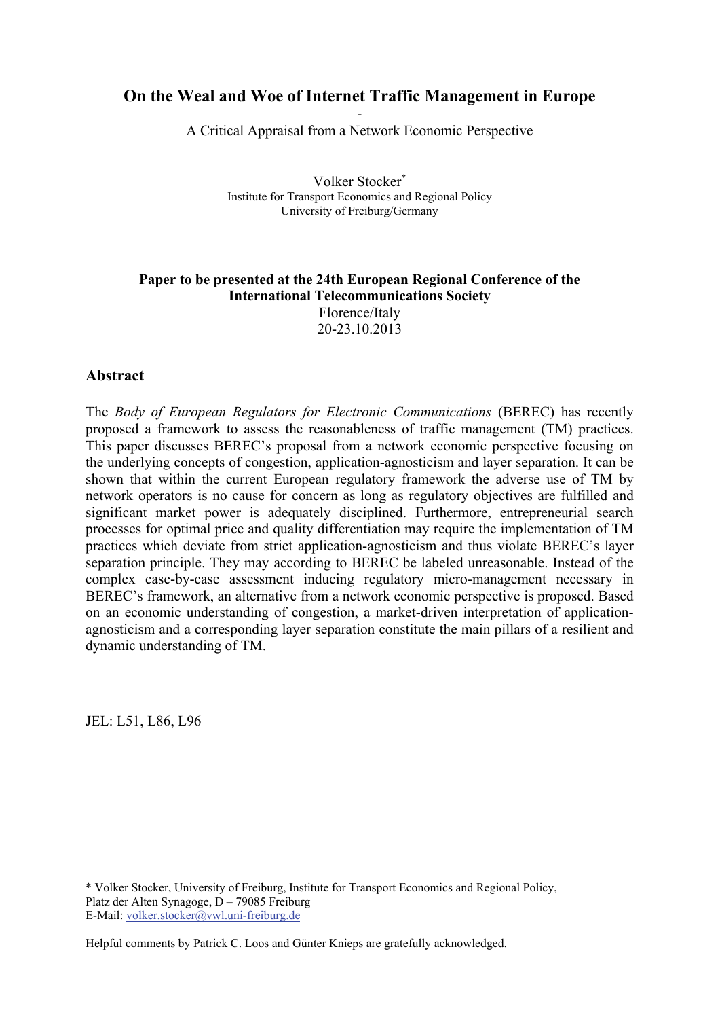## **On the Weal and Woe of Internet Traffic Management in Europe**

- A Critical Appraisal from a Network Economic Perspective

> Volker Stocker Institute for Transport Economics and Regional Policy University of Freiburg/Germany

#### **Paper to be presented at the 24th European Regional Conference of the International Telecommunications Society**  Florence/Italy 20-23.10.2013

#### **Abstract**

The *Body of European Regulators for Electronic Communications* (BEREC) has recently proposed a framework to assess the reasonableness of traffic management (TM) practices. This paper discusses BEREC's proposal from a network economic perspective focusing on the underlying concepts of congestion, application-agnosticism and layer separation. It can be shown that within the current European regulatory framework the adverse use of TM by network operators is no cause for concern as long as regulatory objectives are fulfilled and significant market power is adequately disciplined. Furthermore, entrepreneurial search processes for optimal price and quality differentiation may require the implementation of TM practices which deviate from strict application-agnosticism and thus violate BEREC's layer separation principle. They may according to BEREC be labeled unreasonable. Instead of the complex case-by-case assessment inducing regulatory micro-management necessary in BEREC's framework, an alternative from a network economic perspective is proposed. Based on an economic understanding of congestion, a market-driven interpretation of applicationagnosticism and a corresponding layer separation constitute the main pillars of a resilient and dynamic understanding of TM.

JEL: L51, L86, L96

<u>.</u>

<sup>\*</sup> Volker Stocker, University of Freiburg, Institute for Transport Economics and Regional Policy, Platz der Alten Synagoge, D – 79085 Freiburg E-Mail: volker.stocker@vwl.uni-freiburg.de

Helpful comments by Patrick C. Loos and Günter Knieps are gratefully acknowledged.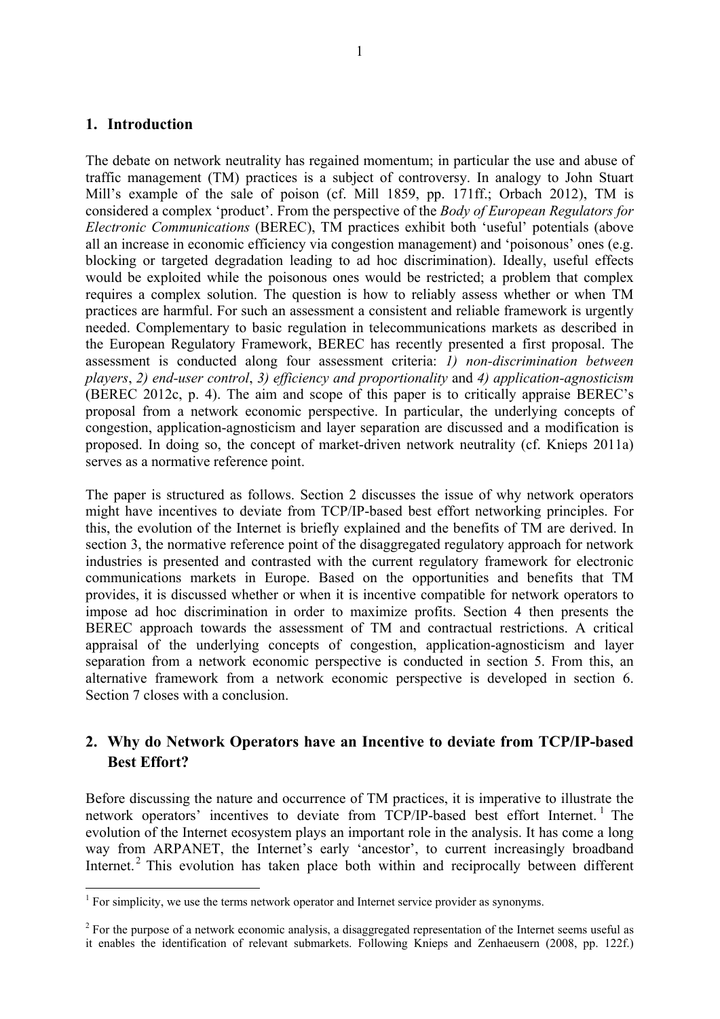#### **1. Introduction**

The debate on network neutrality has regained momentum; in particular the use and abuse of traffic management (TM) practices is a subject of controversy. In analogy to John Stuart Mill's example of the sale of poison (cf. Mill 1859, pp. 171ff.; Orbach 2012), TM is considered a complex 'product'. From the perspective of the *Body of European Regulators for Electronic Communications* (BEREC), TM practices exhibit both 'useful' potentials (above all an increase in economic efficiency via congestion management) and 'poisonous' ones (e.g. blocking or targeted degradation leading to ad hoc discrimination). Ideally, useful effects would be exploited while the poisonous ones would be restricted; a problem that complex requires a complex solution. The question is how to reliably assess whether or when TM practices are harmful. For such an assessment a consistent and reliable framework is urgently needed. Complementary to basic regulation in telecommunications markets as described in the European Regulatory Framework, BEREC has recently presented a first proposal. The assessment is conducted along four assessment criteria: *1) non-discrimination between players*, *2) end-user control*, *3) efficiency and proportionality* and *4) application-agnosticism* (BEREC 2012c, p. 4). The aim and scope of this paper is to critically appraise BEREC's proposal from a network economic perspective. In particular, the underlying concepts of congestion, application-agnosticism and layer separation are discussed and a modification is proposed. In doing so, the concept of market-driven network neutrality (cf. Knieps 2011a) serves as a normative reference point.

The paper is structured as follows. Section 2 discusses the issue of why network operators might have incentives to deviate from TCP/IP-based best effort networking principles. For this, the evolution of the Internet is briefly explained and the benefits of TM are derived. In section 3, the normative reference point of the disaggregated regulatory approach for network industries is presented and contrasted with the current regulatory framework for electronic communications markets in Europe. Based on the opportunities and benefits that TM provides, it is discussed whether or when it is incentive compatible for network operators to impose ad hoc discrimination in order to maximize profits. Section 4 then presents the BEREC approach towards the assessment of TM and contractual restrictions. A critical appraisal of the underlying concepts of congestion, application-agnosticism and layer separation from a network economic perspective is conducted in section 5. From this, an alternative framework from a network economic perspective is developed in section 6. Section 7 closes with a conclusion.

#### **2. Why do Network Operators have an Incentive to deviate from TCP/IP-based Best Effort?**

Before discussing the nature and occurrence of TM practices, it is imperative to illustrate the network operators' incentives to deviate from TCP/IP-based best effort Internet.<sup>1</sup> The evolution of the Internet ecosystem plays an important role in the analysis. It has come a long way from ARPANET, the Internet's early 'ancestor', to current increasingly broadband Internet.<sup>2</sup> This evolution has taken place both within and reciprocally between different

<sup>&</sup>lt;sup>1</sup> For simplicity, we use the terms network operator and Internet service provider as synonyms.

 $2^2$  For the purpose of a network economic analysis, a disaggregated representation of the Internet seems useful as it enables the identification of relevant submarkets. Following Knieps and Zenhaeusern (2008, pp. 122f.)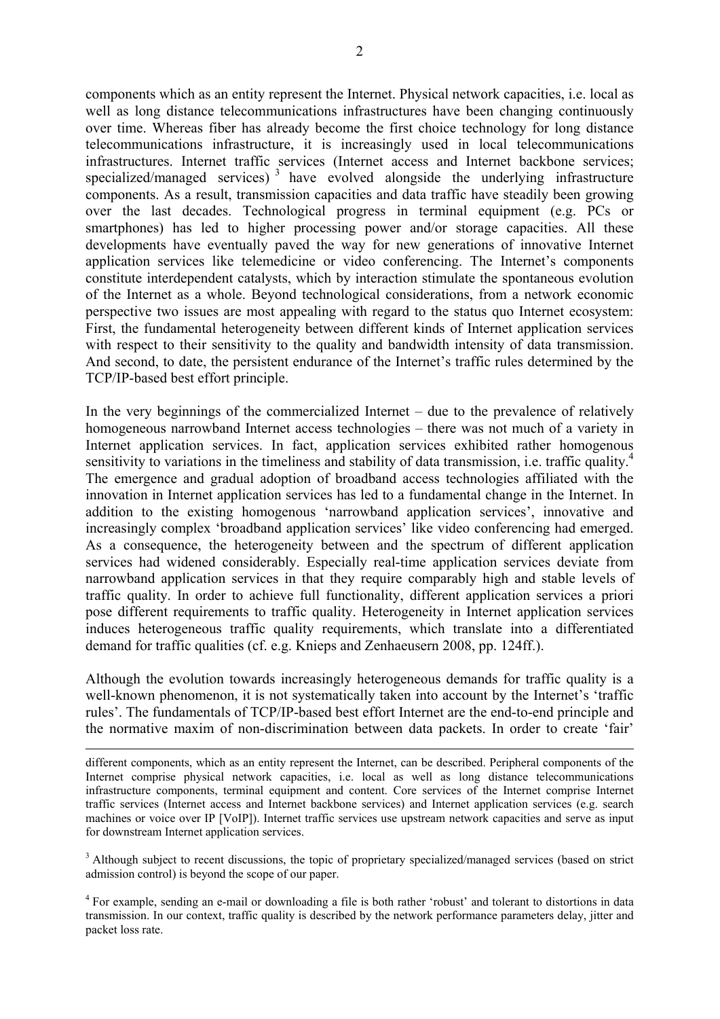components which as an entity represent the Internet. Physical network capacities, i.e. local as well as long distance telecommunications infrastructures have been changing continuously over time. Whereas fiber has already become the first choice technology for long distance telecommunications infrastructure, it is increasingly used in local telecommunications infrastructures. Internet traffic services (Internet access and Internet backbone services; specialized/managed services)<sup>3</sup> have evolved alongside the underlying infrastructure components. As a result, transmission capacities and data traffic have steadily been growing over the last decades. Technological progress in terminal equipment (e.g. PCs or smartphones) has led to higher processing power and/or storage capacities. All these developments have eventually paved the way for new generations of innovative Internet application services like telemedicine or video conferencing. The Internet's components constitute interdependent catalysts, which by interaction stimulate the spontaneous evolution of the Internet as a whole. Beyond technological considerations, from a network economic perspective two issues are most appealing with regard to the status quo Internet ecosystem: First, the fundamental heterogeneity between different kinds of Internet application services with respect to their sensitivity to the quality and bandwidth intensity of data transmission. And second, to date, the persistent endurance of the Internet's traffic rules determined by the TCP/IP-based best effort principle.

In the very beginnings of the commercialized Internet – due to the prevalence of relatively homogeneous narrowband Internet access technologies – there was not much of a variety in Internet application services. In fact, application services exhibited rather homogenous sensitivity to variations in the timeliness and stability of data transmission, i.e. traffic quality.<sup>4</sup> The emergence and gradual adoption of broadband access technologies affiliated with the innovation in Internet application services has led to a fundamental change in the Internet. In addition to the existing homogenous 'narrowband application services', innovative and increasingly complex 'broadband application services' like video conferencing had emerged. As a consequence, the heterogeneity between and the spectrum of different application services had widened considerably. Especially real-time application services deviate from narrowband application services in that they require comparably high and stable levels of traffic quality. In order to achieve full functionality, different application services a priori pose different requirements to traffic quality. Heterogeneity in Internet application services induces heterogeneous traffic quality requirements, which translate into a differentiated demand for traffic qualities (cf. e.g. Knieps and Zenhaeusern 2008, pp. 124ff.).

Although the evolution towards increasingly heterogeneous demands for traffic quality is a well-known phenomenon, it is not systematically taken into account by the Internet's 'traffic rules'. The fundamentals of TCP/IP-based best effort Internet are the end-to-end principle and the normative maxim of non-discrimination between data packets. In order to create 'fair'

 different components, which as an entity represent the Internet, can be described. Peripheral components of the Internet comprise physical network capacities, i.e. local as well as long distance telecommunications infrastructure components, terminal equipment and content. Core services of the Internet comprise Internet traffic services (Internet access and Internet backbone services) and Internet application services (e.g. search machines or voice over IP [VoIP]). Internet traffic services use upstream network capacities and serve as input for downstream Internet application services.

<sup>3</sup> Although subject to recent discussions, the topic of proprietary specialized/managed services (based on strict admission control) is beyond the scope of our paper.

<sup>4</sup> For example, sending an e-mail or downloading a file is both rather 'robust' and tolerant to distortions in data transmission. In our context, traffic quality is described by the network performance parameters delay, jitter and packet loss rate.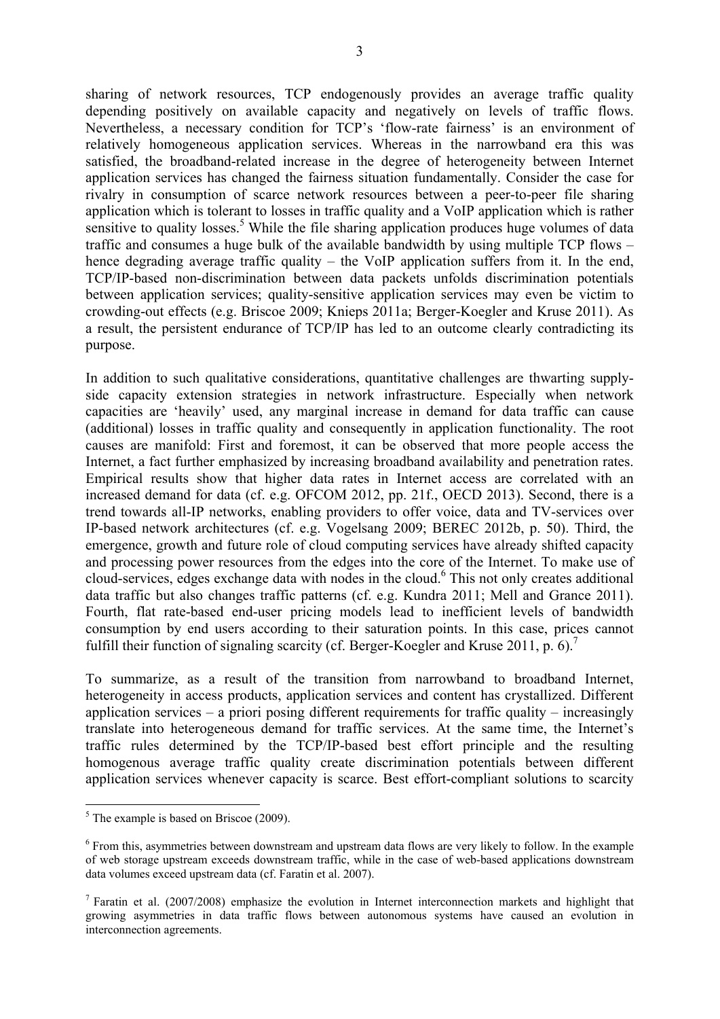sharing of network resources, TCP endogenously provides an average traffic quality depending positively on available capacity and negatively on levels of traffic flows. Nevertheless, a necessary condition for TCP's 'flow-rate fairness' is an environment of relatively homogeneous application services. Whereas in the narrowband era this was satisfied, the broadband-related increase in the degree of heterogeneity between Internet application services has changed the fairness situation fundamentally. Consider the case for rivalry in consumption of scarce network resources between a peer-to-peer file sharing application which is tolerant to losses in traffic quality and a VoIP application which is rather sensitive to quality losses.<sup>5</sup> While the file sharing application produces huge volumes of data traffic and consumes a huge bulk of the available bandwidth by using multiple TCP flows – hence degrading average traffic quality – the VoIP application suffers from it. In the end, TCP/IP-based non-discrimination between data packets unfolds discrimination potentials between application services; quality-sensitive application services may even be victim to crowding-out effects (e.g. Briscoe 2009; Knieps 2011a; Berger-Koegler and Kruse 2011). As a result, the persistent endurance of TCP/IP has led to an outcome clearly contradicting its purpose.

In addition to such qualitative considerations, quantitative challenges are thwarting supplyside capacity extension strategies in network infrastructure. Especially when network capacities are 'heavily' used, any marginal increase in demand for data traffic can cause (additional) losses in traffic quality and consequently in application functionality. The root causes are manifold: First and foremost, it can be observed that more people access the Internet, a fact further emphasized by increasing broadband availability and penetration rates. Empirical results show that higher data rates in Internet access are correlated with an increased demand for data (cf. e.g. OFCOM 2012, pp. 21f., OECD 2013). Second, there is a trend towards all-IP networks, enabling providers to offer voice, data and TV-services over IP-based network architectures (cf. e.g. Vogelsang 2009; BEREC 2012b, p. 50). Third, the emergence, growth and future role of cloud computing services have already shifted capacity and processing power resources from the edges into the core of the Internet. To make use of cloud-services, edges exchange data with nodes in the cloud.<sup>6</sup> This not only creates additional data traffic but also changes traffic patterns (cf. e.g. Kundra 2011; Mell and Grance 2011). Fourth, flat rate-based end-user pricing models lead to inefficient levels of bandwidth consumption by end users according to their saturation points. In this case, prices cannot fulfill their function of signaling scarcity (cf. Berger-Koegler and Kruse 2011, p. 6).<sup>7</sup>

To summarize, as a result of the transition from narrowband to broadband Internet, heterogeneity in access products, application services and content has crystallized. Different application services – a priori posing different requirements for traffic quality – increasingly translate into heterogeneous demand for traffic services. At the same time, the Internet's traffic rules determined by the TCP/IP-based best effort principle and the resulting homogenous average traffic quality create discrimination potentials between different application services whenever capacity is scarce. Best effort-compliant solutions to scarcity

<sup>1</sup> <sup>5</sup> The example is based on Briscoe (2009).

<sup>&</sup>lt;sup>6</sup> From this, asymmetries between downstream and upstream data flows are very likely to follow. In the example of web storage upstream exceeds downstream traffic, while in the case of web-based applications downstream data volumes exceed upstream data (cf. Faratin et al. 2007).

<sup>&</sup>lt;sup>7</sup> Faratin et al. (2007/2008) emphasize the evolution in Internet interconnection markets and highlight that growing asymmetries in data traffic flows between autonomous systems have caused an evolution in interconnection agreements.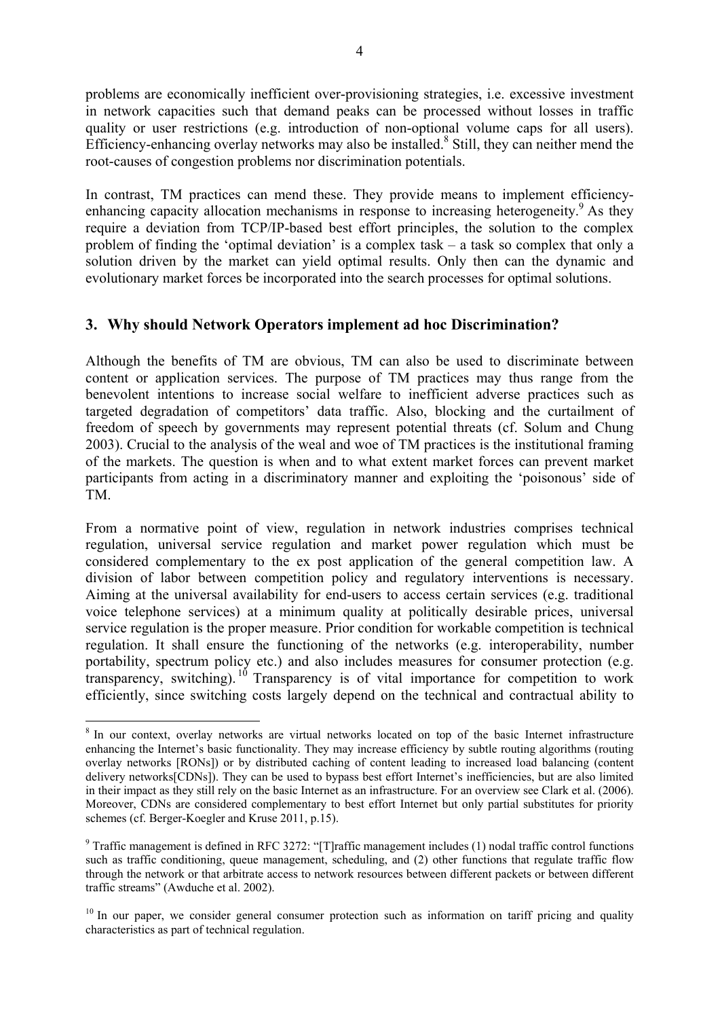problems are economically inefficient over-provisioning strategies, i.e. excessive investment in network capacities such that demand peaks can be processed without losses in traffic quality or user restrictions (e.g. introduction of non-optional volume caps for all users). Efficiency-enhancing overlay networks may also be installed.<sup>8</sup> Still, they can neither mend the root-causes of congestion problems nor discrimination potentials.

In contrast, TM practices can mend these. They provide means to implement efficiencyenhancing capacity allocation mechanisms in response to increasing heterogeneity.<sup>9</sup> As they require a deviation from TCP/IP-based best effort principles, the solution to the complex problem of finding the 'optimal deviation' is a complex task – a task so complex that only a solution driven by the market can yield optimal results. Only then can the dynamic and evolutionary market forces be incorporated into the search processes for optimal solutions.

#### **3. Why should Network Operators implement ad hoc Discrimination?**

Although the benefits of TM are obvious, TM can also be used to discriminate between content or application services. The purpose of TM practices may thus range from the benevolent intentions to increase social welfare to inefficient adverse practices such as targeted degradation of competitors' data traffic. Also, blocking and the curtailment of freedom of speech by governments may represent potential threats (cf. Solum and Chung 2003). Crucial to the analysis of the weal and woe of TM practices is the institutional framing of the markets. The question is when and to what extent market forces can prevent market participants from acting in a discriminatory manner and exploiting the 'poisonous' side of TM.

From a normative point of view, regulation in network industries comprises technical regulation, universal service regulation and market power regulation which must be considered complementary to the ex post application of the general competition law. A division of labor between competition policy and regulatory interventions is necessary. Aiming at the universal availability for end-users to access certain services (e.g. traditional voice telephone services) at a minimum quality at politically desirable prices, universal service regulation is the proper measure. Prior condition for workable competition is technical regulation. It shall ensure the functioning of the networks (e.g. interoperability, number portability, spectrum policy etc.) and also includes measures for consumer protection (e.g. transparency, switching). <sup>10</sup> Transparency is of vital importance for competition to work efficiently, since switching costs largely depend on the technical and contractual ability to

<sup>&</sup>lt;sup>8</sup> In our context, overlay networks are virtual networks located on top of the basic Internet infrastructure enhancing the Internet's basic functionality. They may increase efficiency by subtle routing algorithms (routing overlay networks [RONs]) or by distributed caching of content leading to increased load balancing (content delivery networks[CDNs]). They can be used to bypass best effort Internet's inefficiencies, but are also limited in their impact as they still rely on the basic Internet as an infrastructure. For an overview see Clark et al. (2006). Moreover, CDNs are considered complementary to best effort Internet but only partial substitutes for priority schemes (cf. Berger-Koegler and Kruse 2011, p.15).

<sup>&</sup>lt;sup>9</sup> Traffic management is defined in RFC 3272: "[T]raffic management includes (1) nodal traffic control functions such as traffic conditioning, queue management, scheduling, and (2) other functions that regulate traffic flow through the network or that arbitrate access to network resources between different packets or between different traffic streams" (Awduche et al. 2002).

<sup>&</sup>lt;sup>10</sup> In our paper, we consider general consumer protection such as information on tariff pricing and quality characteristics as part of technical regulation.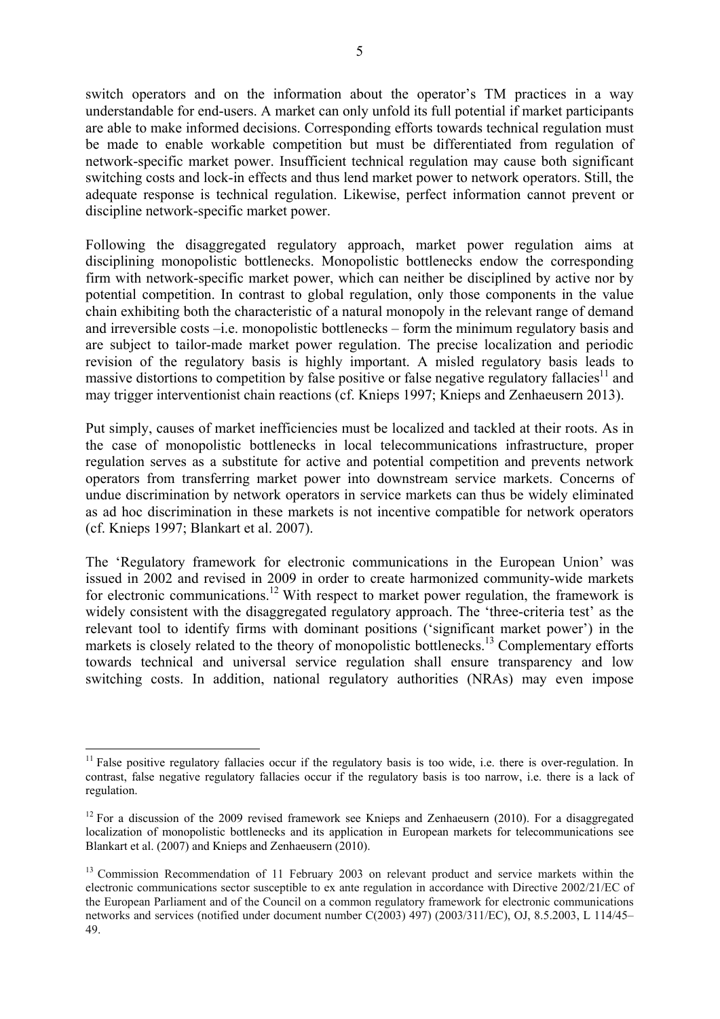switch operators and on the information about the operator's TM practices in a way understandable for end-users. A market can only unfold its full potential if market participants are able to make informed decisions. Corresponding efforts towards technical regulation must be made to enable workable competition but must be differentiated from regulation of network-specific market power. Insufficient technical regulation may cause both significant switching costs and lock-in effects and thus lend market power to network operators. Still, the adequate response is technical regulation. Likewise, perfect information cannot prevent or discipline network-specific market power.

Following the disaggregated regulatory approach, market power regulation aims at disciplining monopolistic bottlenecks. Monopolistic bottlenecks endow the corresponding firm with network-specific market power, which can neither be disciplined by active nor by potential competition. In contrast to global regulation, only those components in the value chain exhibiting both the characteristic of a natural monopoly in the relevant range of demand and irreversible costs –i.e. monopolistic bottlenecks – form the minimum regulatory basis and are subject to tailor-made market power regulation. The precise localization and periodic revision of the regulatory basis is highly important. A misled regulatory basis leads to massive distortions to competition by false positive or false negative regulatory fallacies<sup>11</sup> and may trigger interventionist chain reactions (cf. Knieps 1997; Knieps and Zenhaeusern 2013).

Put simply, causes of market inefficiencies must be localized and tackled at their roots. As in the case of monopolistic bottlenecks in local telecommunications infrastructure, proper regulation serves as a substitute for active and potential competition and prevents network operators from transferring market power into downstream service markets. Concerns of undue discrimination by network operators in service markets can thus be widely eliminated as ad hoc discrimination in these markets is not incentive compatible for network operators (cf. Knieps 1997; Blankart et al. 2007).

The 'Regulatory framework for electronic communications in the European Union' was issued in 2002 and revised in 2009 in order to create harmonized community-wide markets for electronic communications.<sup>12</sup> With respect to market power regulation, the framework is widely consistent with the disaggregated regulatory approach. The 'three-criteria test' as the relevant tool to identify firms with dominant positions ('significant market power') in the markets is closely related to the theory of monopolistic bottlenecks.<sup>13</sup> Complementary efforts towards technical and universal service regulation shall ensure transparency and low switching costs. In addition, national regulatory authorities (NRAs) may even impose

<u>.</u>

 $11$  False positive regulatory fallacies occur if the regulatory basis is too wide, i.e. there is over-regulation. In contrast, false negative regulatory fallacies occur if the regulatory basis is too narrow, i.e. there is a lack of regulation.

 $12$  For a discussion of the 2009 revised framework see Knieps and Zenhaeusern (2010). For a disaggregated localization of monopolistic bottlenecks and its application in European markets for telecommunications see Blankart et al. (2007) and Knieps and Zenhaeusern (2010).

<sup>&</sup>lt;sup>13</sup> Commission Recommendation of 11 February 2003 on relevant product and service markets within the electronic communications sector susceptible to ex ante regulation in accordance with Directive 2002/21/EC of the European Parliament and of the Council on a common regulatory framework for electronic communications networks and services (notified under document number C(2003) 497) (2003/311/EC), OJ, 8.5.2003, L 114/45– 49.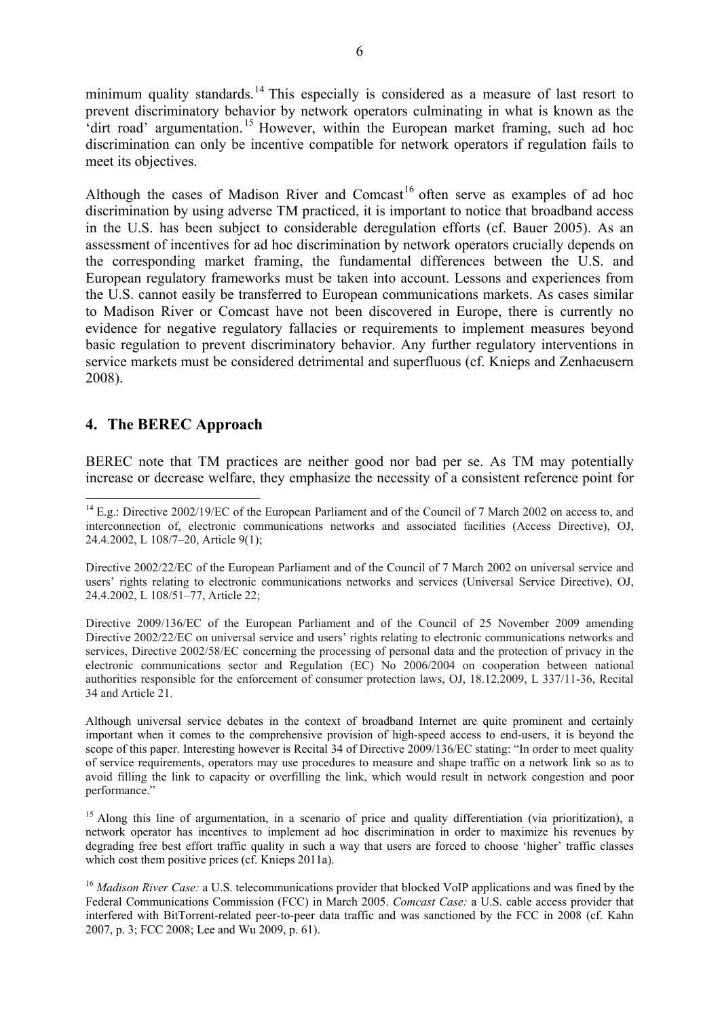minimum quality standards.<sup>14</sup> This especially is considered as a measure of last resort to prevent discriminatory behavior by network operators culminating in what is known as the 'dirt road' argumentation. 15 However, within the European market framing, such ad hoc discrimination can only be incentive compatible for network operators if regulation fails to meet its objectives.

Although the cases of Madison River and Comcast<sup>16</sup> often serve as examples of ad hoc discrimination by using adverse TM practiced, it is important to notice that broadband access in the U.S. has been subject to considerable deregulation efforts (cf. Bauer 2005). As an assessment of incentives for ad hoc discrimination by network operators crucially depends on the corresponding market framing, the fundamental differences between the U.S. and European regulatory frameworks must be taken into account. Lessons and experiences from the U.S. cannot easily be transferred to European communications markets. As cases similar to Madison River or Comcast have not been discovered in Europe, there is currently no evidence for negative regulatory fallacies or requirements to implement measures beyond basic regulation to prevent discriminatory behavior. Any further regulatory interventions in service markets must be considered detrimental and superfluous (cf. Knieps and Zenhaeusern 2008).

#### **4. The BEREC Approach**

<u>.</u>

BEREC note that TM practices are neither good nor bad per se. As TM may potentially increase or decrease welfare, they emphasize the necessity of a consistent reference point for

<sup>&</sup>lt;sup>14</sup> E.g.: Directive 2002/19/EC of the European Parliament and of the Council of 7 March 2002 on access to, and interconnection of, electronic communications networks and associated facilities (Access Directive), OJ, 24.4.2002, L 108/7–20, Article 9(1);

Directive 2002/22/EC of the European Parliament and of the Council of 7 March 2002 on universal service and users' rights relating to electronic communications networks and services (Universal Service Directive), OJ, 24.4.2002, L 108/51–77, Article 22;

Directive 2009/136/EC of the European Parliament and of the Council of 25 November 2009 amending Directive 2002/22/EC on universal service and users' rights relating to electronic communications networks and services, Directive 2002/58/EC concerning the processing of personal data and the protection of privacy in the electronic communications sector and Regulation (EC) No 2006/2004 on cooperation between national authorities responsible for the enforcement of consumer protection laws, OJ, 18.12.2009, L 337/11-36, Recital 34 and Article 21.

Although universal service debates in the context of broadband Internet are quite prominent and certainly important when it comes to the comprehensive provision of high-speed access to end-users, it is beyond the scope of this paper. Interesting however is Recital 34 of Directive 2009/136/EC stating: "In order to meet quality of service requirements, operators may use procedures to measure and shape traffic on a network link so as to avoid filling the link to capacity or overfilling the link, which would result in network congestion and poor performance."

<sup>&</sup>lt;sup>15</sup> Along this line of argumentation, in a scenario of price and quality differentiation (via prioritization), a network operator has incentives to implement ad hoc discrimination in order to maximize his revenues by degrading free best effort traffic quality in such a way that users are forced to choose 'higher' traffic classes which cost them positive prices (cf. Knieps 2011a).

<sup>&</sup>lt;sup>16</sup> *Madison River Case:* a U.S. telecommunications provider that blocked VoIP applications and was fined by the Federal Communications Commission (FCC) in March 2005. *Comcast Case:* a U.S. cable access provider that interfered with BitTorrent-related peer-to-peer data traffic and was sanctioned by the FCC in 2008 (cf. Kahn 2007, p. 3; FCC 2008; Lee and Wu 2009, p. 61).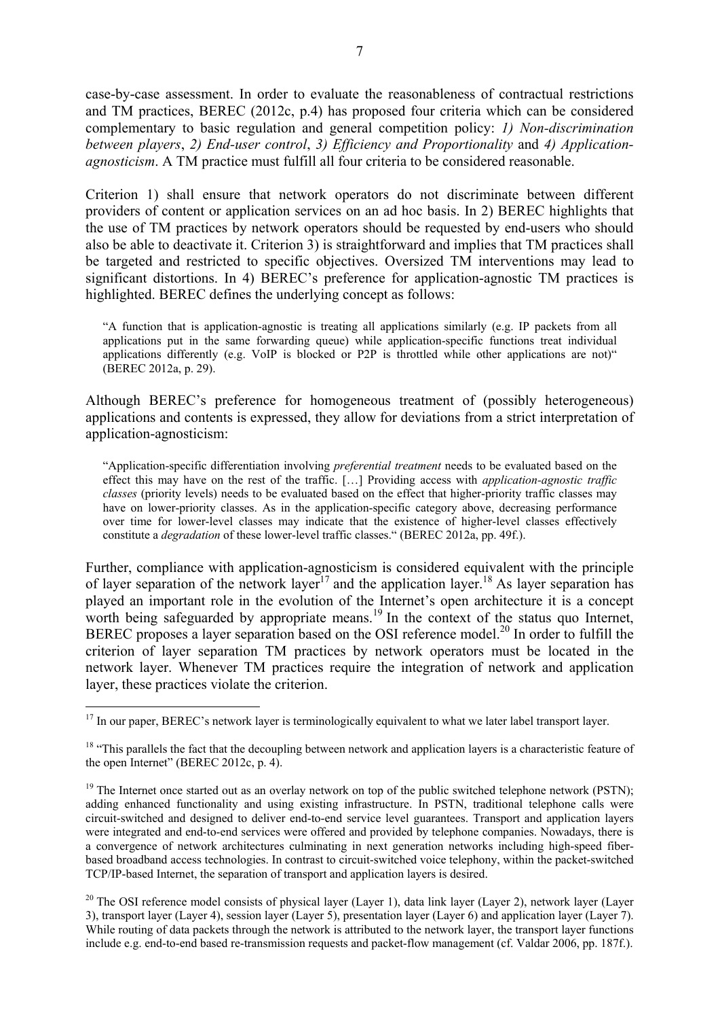case-by-case assessment. In order to evaluate the reasonableness of contractual restrictions and TM practices, BEREC (2012c, p.4) has proposed four criteria which can be considered complementary to basic regulation and general competition policy: *1) Non-discrimination between players*, *2) End-user control*, *3) Efficiency and Proportionality* and *4) Applicationagnosticism*. A TM practice must fulfill all four criteria to be considered reasonable.

Criterion 1) shall ensure that network operators do not discriminate between different providers of content or application services on an ad hoc basis. In 2) BEREC highlights that the use of TM practices by network operators should be requested by end-users who should also be able to deactivate it. Criterion 3) is straightforward and implies that TM practices shall be targeted and restricted to specific objectives. Oversized TM interventions may lead to significant distortions. In 4) BEREC's preference for application-agnostic TM practices is highlighted. BEREC defines the underlying concept as follows:

"A function that is application-agnostic is treating all applications similarly (e.g. IP packets from all applications put in the same forwarding queue) while application-specific functions treat individual applications differently (e.g. VoIP is blocked or P2P is throttled while other applications are not)" (BEREC 2012a, p. 29).

Although BEREC's preference for homogeneous treatment of (possibly heterogeneous) applications and contents is expressed, they allow for deviations from a strict interpretation of application-agnosticism:

"Application-specific differentiation involving *preferential treatment* needs to be evaluated based on the effect this may have on the rest of the traffic. […] Providing access with *application-agnostic traffic classes* (priority levels) needs to be evaluated based on the effect that higher-priority traffic classes may have on lower-priority classes. As in the application-specific category above, decreasing performance over time for lower-level classes may indicate that the existence of higher-level classes effectively constitute a *degradation* of these lower-level traffic classes." (BEREC 2012a, pp. 49f.).

Further, compliance with application-agnosticism is considered equivalent with the principle of layer separation of the network layer<sup>17</sup> and the application layer.<sup>18</sup> As layer separation has played an important role in the evolution of the Internet's open architecture it is a concept worth being safeguarded by appropriate means.<sup>19</sup> In the context of the status quo Internet, BEREC proposes a layer separation based on the OSI reference model.<sup>20</sup> In order to fulfill the criterion of layer separation TM practices by network operators must be located in the network layer. Whenever TM practices require the integration of network and application layer, these practices violate the criterion.

<u>.</u>

<sup>&</sup>lt;sup>17</sup> In our paper, BEREC's network layer is terminologically equivalent to what we later label transport layer.

 $18$  "This parallels the fact that the decoupling between network and application layers is a characteristic feature of the open Internet" (BEREC 2012c, p. 4).

<sup>&</sup>lt;sup>19</sup> The Internet once started out as an overlay network on top of the public switched telephone network (PSTN); adding enhanced functionality and using existing infrastructure. In PSTN, traditional telephone calls were circuit-switched and designed to deliver end-to-end service level guarantees. Transport and application layers were integrated and end-to-end services were offered and provided by telephone companies. Nowadays, there is a convergence of network architectures culminating in next generation networks including high-speed fiberbased broadband access technologies. In contrast to circuit-switched voice telephony, within the packet-switched TCP/IP-based Internet, the separation of transport and application layers is desired.

<sup>&</sup>lt;sup>20</sup> The OSI reference model consists of physical layer (Layer 1), data link layer (Layer 2), network layer (Layer 3), transport layer (Layer 4), session layer (Layer 5), presentation layer (Layer 6) and application layer (Layer 7). While routing of data packets through the network is attributed to the network layer, the transport layer functions include e.g. end-to-end based re-transmission requests and packet-flow management (cf. Valdar 2006, pp. 187f.).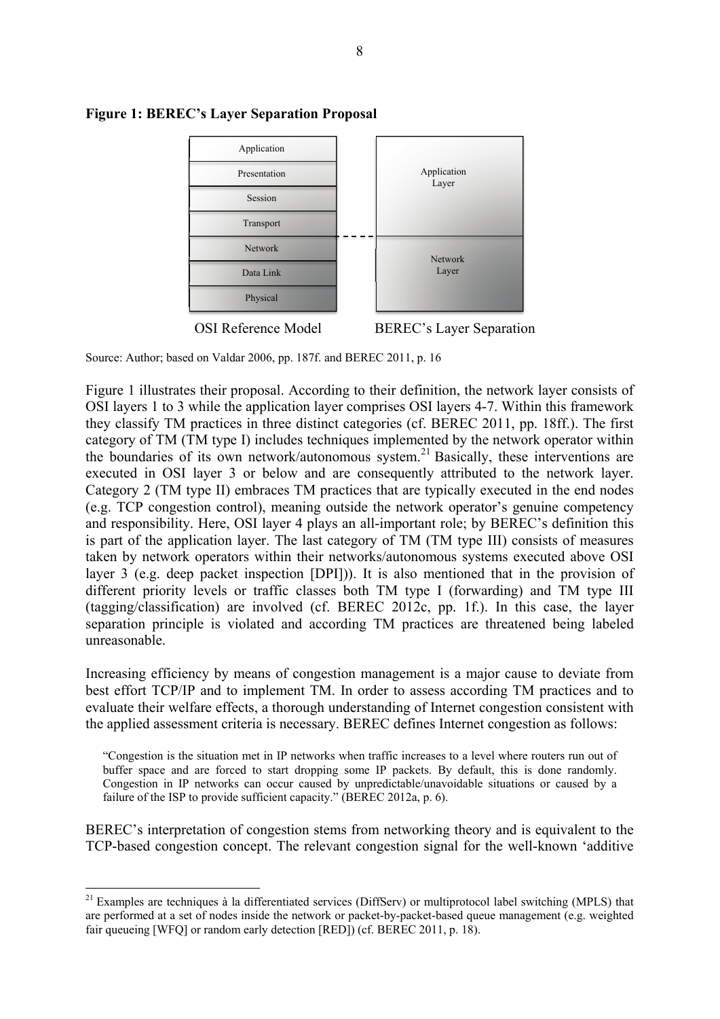

#### **Figure 1: BEREC's Layer Separation Proposal**

OSI Reference Model BEREC's Layer Separation

Source: Author; based on Valdar 2006, pp. 187f. and BEREC 2011, p. 16

Figure 1 illustrates their proposal. According to their definition, the network layer consists of OSI layers 1 to 3 while the application layer comprises OSI layers 4-7. Within this framework they classify TM practices in three distinct categories (cf. BEREC 2011, pp. 18ff.). The first category of TM (TM type I) includes techniques implemented by the network operator within the boundaries of its own network/autonomous system.<sup>21</sup> Basically, these interventions are executed in OSI layer 3 or below and are consequently attributed to the network layer. Category 2 (TM type II) embraces TM practices that are typically executed in the end nodes (e.g. TCP congestion control), meaning outside the network operator's genuine competency and responsibility. Here, OSI layer 4 plays an all-important role; by BEREC's definition this is part of the application layer. The last category of TM (TM type III) consists of measures taken by network operators within their networks/autonomous systems executed above OSI layer 3 (e.g. deep packet inspection [DPI])). It is also mentioned that in the provision of different priority levels or traffic classes both TM type I (forwarding) and TM type III (tagging/classification) are involved (cf. BEREC 2012c, pp. 1f.). In this case, the layer separation principle is violated and according TM practices are threatened being labeled unreasonable.

Increasing efficiency by means of congestion management is a major cause to deviate from best effort TCP/IP and to implement TM. In order to assess according TM practices and to evaluate their welfare effects, a thorough understanding of Internet congestion consistent with the applied assessment criteria is necessary. BEREC defines Internet congestion as follows:

"Congestion is the situation met in IP networks when traffic increases to a level where routers run out of buffer space and are forced to start dropping some IP packets. By default, this is done randomly. Congestion in IP networks can occur caused by unpredictable/unavoidable situations or caused by a failure of the ISP to provide sufficient capacity." (BEREC 2012a, p. 6).

BEREC's interpretation of congestion stems from networking theory and is equivalent to the TCP-based congestion concept. The relevant congestion signal for the well-known 'additive

 $21$  Examples are techniques à la differentiated services (DiffServ) or multiprotocol label switching (MPLS) that are performed at a set of nodes inside the network or packet-by-packet-based queue management (e.g. weighted fair queueing [WFQ] or random early detection [RED]) (cf. BEREC 2011, p. 18).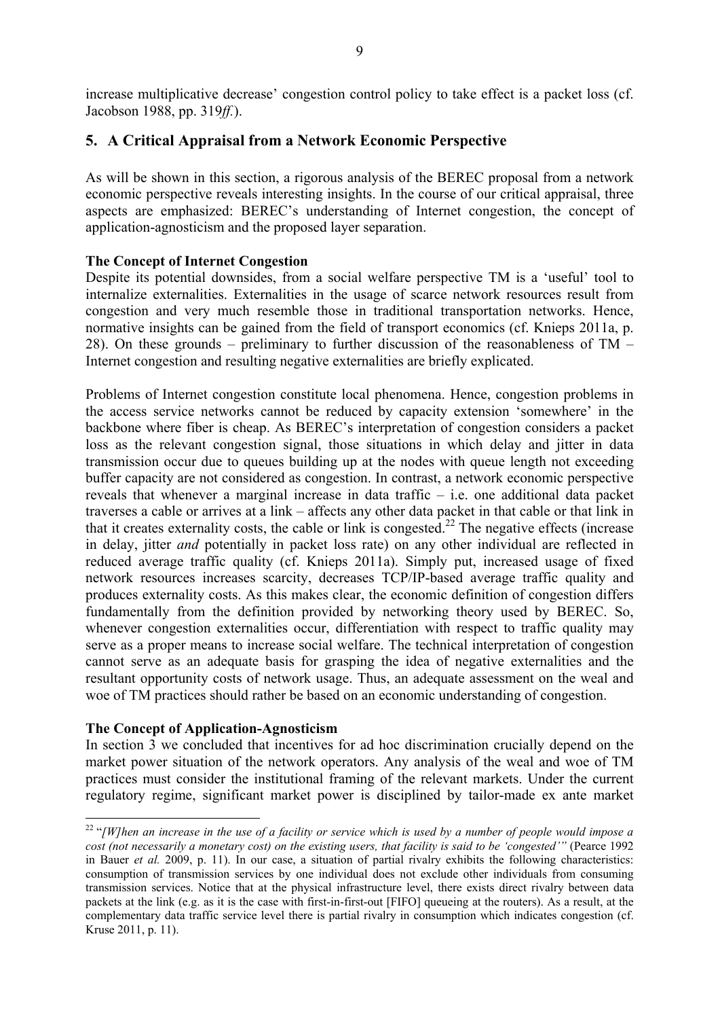increase multiplicative decrease' congestion control policy to take effect is a packet loss (cf. Jacobson 1988, pp. 319*ff.*).

#### **5. A Critical Appraisal from a Network Economic Perspective**

As will be shown in this section, a rigorous analysis of the BEREC proposal from a network economic perspective reveals interesting insights. In the course of our critical appraisal, three aspects are emphasized: BEREC's understanding of Internet congestion, the concept of application-agnosticism and the proposed layer separation.

#### **The Concept of Internet Congestion**

Despite its potential downsides, from a social welfare perspective TM is a 'useful' tool to internalize externalities. Externalities in the usage of scarce network resources result from congestion and very much resemble those in traditional transportation networks. Hence, normative insights can be gained from the field of transport economics (cf. Knieps 2011a, p. 28). On these grounds – preliminary to further discussion of the reasonableness of TM – Internet congestion and resulting negative externalities are briefly explicated.

Problems of Internet congestion constitute local phenomena. Hence, congestion problems in the access service networks cannot be reduced by capacity extension 'somewhere' in the backbone where fiber is cheap. As BEREC's interpretation of congestion considers a packet loss as the relevant congestion signal, those situations in which delay and jitter in data transmission occur due to queues building up at the nodes with queue length not exceeding buffer capacity are not considered as congestion. In contrast, a network economic perspective reveals that whenever a marginal increase in data traffic – i.e. one additional data packet traverses a cable or arrives at a link – affects any other data packet in that cable or that link in that it creates externality costs, the cable or link is congested.<sup>22</sup> The negative effects (increase in delay, jitter *and* potentially in packet loss rate) on any other individual are reflected in reduced average traffic quality (cf. Knieps 2011a). Simply put, increased usage of fixed network resources increases scarcity, decreases TCP/IP-based average traffic quality and produces externality costs. As this makes clear, the economic definition of congestion differs fundamentally from the definition provided by networking theory used by BEREC. So, whenever congestion externalities occur, differentiation with respect to traffic quality may serve as a proper means to increase social welfare. The technical interpretation of congestion cannot serve as an adequate basis for grasping the idea of negative externalities and the resultant opportunity costs of network usage. Thus, an adequate assessment on the weal and woe of TM practices should rather be based on an economic understanding of congestion.

#### **The Concept of Application-Agnosticism**

1

In section 3 we concluded that incentives for ad hoc discrimination crucially depend on the market power situation of the network operators. Any analysis of the weal and woe of TM practices must consider the institutional framing of the relevant markets. Under the current regulatory regime, significant market power is disciplined by tailor-made ex ante market

<sup>&</sup>lt;sup>22</sup> "[W]hen an increase in the use of a facility or service which is used by a number of people would impose a *cost (not necessarily a monetary cost) on the existing users, that facility is said to be 'congested'"* (Pearce 1992 in Bauer *et al.* 2009, p. 11). In our case, a situation of partial rivalry exhibits the following characteristics: consumption of transmission services by one individual does not exclude other individuals from consuming transmission services. Notice that at the physical infrastructure level, there exists direct rivalry between data packets at the link (e.g. as it is the case with first-in-first-out [FIFO] queueing at the routers). As a result, at the complementary data traffic service level there is partial rivalry in consumption which indicates congestion (cf. Kruse 2011, p. 11).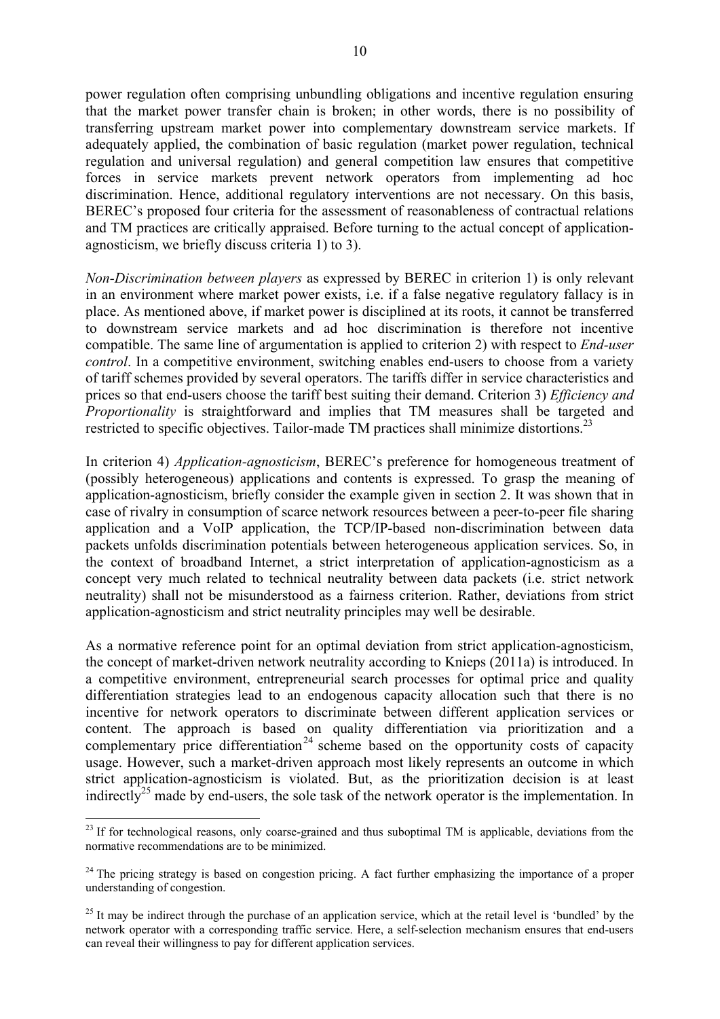power regulation often comprising unbundling obligations and incentive regulation ensuring that the market power transfer chain is broken; in other words, there is no possibility of transferring upstream market power into complementary downstream service markets. If adequately applied, the combination of basic regulation (market power regulation, technical regulation and universal regulation) and general competition law ensures that competitive forces in service markets prevent network operators from implementing ad hoc discrimination. Hence, additional regulatory interventions are not necessary. On this basis, BEREC's proposed four criteria for the assessment of reasonableness of contractual relations and TM practices are critically appraised. Before turning to the actual concept of applicationagnosticism, we briefly discuss criteria 1) to 3).

*Non-Discrimination between players* as expressed by BEREC in criterion 1) is only relevant in an environment where market power exists, i.e. if a false negative regulatory fallacy is in place. As mentioned above, if market power is disciplined at its roots, it cannot be transferred to downstream service markets and ad hoc discrimination is therefore not incentive compatible. The same line of argumentation is applied to criterion 2) with respect to *End-user control*. In a competitive environment, switching enables end-users to choose from a variety of tariff schemes provided by several operators. The tariffs differ in service characteristics and prices so that end-users choose the tariff best suiting their demand. Criterion 3) *Efficiency and Proportionality* is straightforward and implies that TM measures shall be targeted and restricted to specific objectives. Tailor-made TM practices shall minimize distortions.<sup>23</sup>

In criterion 4) *Application-agnosticism*, BEREC's preference for homogeneous treatment of (possibly heterogeneous) applications and contents is expressed. To grasp the meaning of application-agnosticism, briefly consider the example given in section 2. It was shown that in case of rivalry in consumption of scarce network resources between a peer-to-peer file sharing application and a VoIP application, the TCP/IP-based non-discrimination between data packets unfolds discrimination potentials between heterogeneous application services. So, in the context of broadband Internet, a strict interpretation of application-agnosticism as a concept very much related to technical neutrality between data packets (i.e. strict network neutrality) shall not be misunderstood as a fairness criterion. Rather, deviations from strict application-agnosticism and strict neutrality principles may well be desirable.

As a normative reference point for an optimal deviation from strict application-agnosticism, the concept of market-driven network neutrality according to Knieps (2011a) is introduced. In a competitive environment, entrepreneurial search processes for optimal price and quality differentiation strategies lead to an endogenous capacity allocation such that there is no incentive for network operators to discriminate between different application services or content. The approach is based on quality differentiation via prioritization and a complementary price differentiation<sup>24</sup> scheme based on the opportunity costs of capacity usage. However, such a market-driven approach most likely represents an outcome in which strict application-agnosticism is violated. But, as the prioritization decision is at least indirectly<sup>25</sup> made by end-users, the sole task of the network operator is the implementation. In

<sup>&</sup>lt;sup>23</sup> If for technological reasons, only coarse-grained and thus suboptimal TM is applicable, deviations from the normative recommendations are to be minimized.

<sup>&</sup>lt;sup>24</sup> The pricing strategy is based on congestion pricing. A fact further emphasizing the importance of a proper understanding of congestion.

<sup>&</sup>lt;sup>25</sup> It may be indirect through the purchase of an application service, which at the retail level is 'bundled' by the network operator with a corresponding traffic service. Here, a self-selection mechanism ensures that end-users can reveal their willingness to pay for different application services.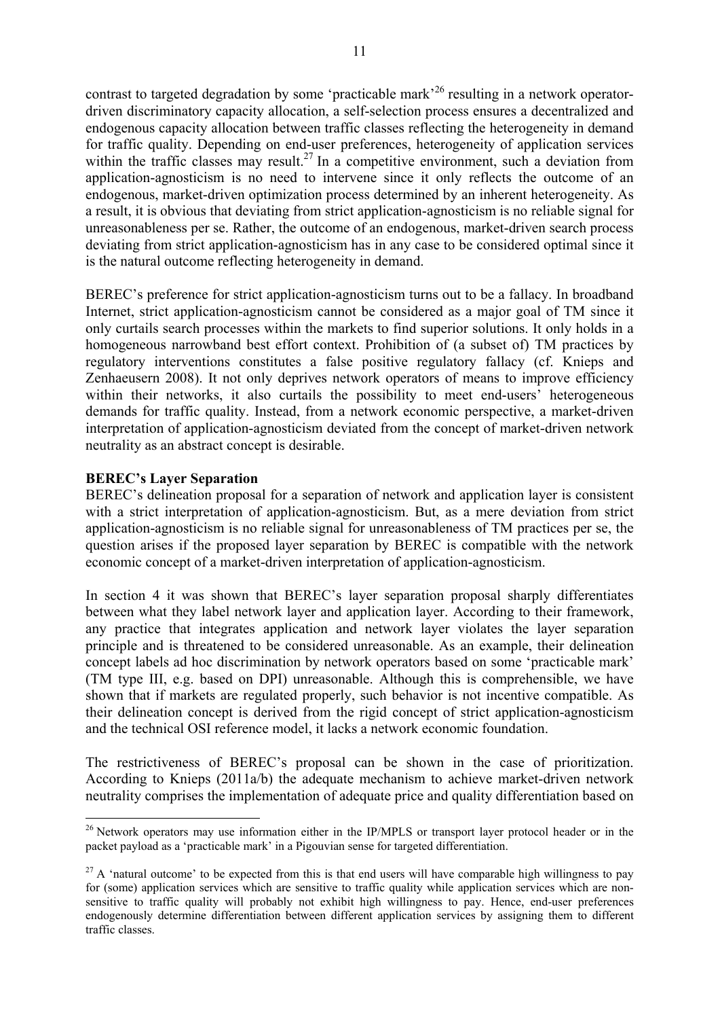contrast to targeted degradation by some 'practicable mark'<sup>26</sup> resulting in a network operatordriven discriminatory capacity allocation, a self-selection process ensures a decentralized and endogenous capacity allocation between traffic classes reflecting the heterogeneity in demand for traffic quality. Depending on end-user preferences, heterogeneity of application services within the traffic classes may result.<sup>27</sup> In a competitive environment, such a deviation from application-agnosticism is no need to intervene since it only reflects the outcome of an endogenous, market-driven optimization process determined by an inherent heterogeneity. As a result, it is obvious that deviating from strict application-agnosticism is no reliable signal for unreasonableness per se. Rather, the outcome of an endogenous, market-driven search process deviating from strict application-agnosticism has in any case to be considered optimal since it is the natural outcome reflecting heterogeneity in demand.

BEREC's preference for strict application-agnosticism turns out to be a fallacy. In broadband Internet, strict application-agnosticism cannot be considered as a major goal of TM since it only curtails search processes within the markets to find superior solutions. It only holds in a homogeneous narrowband best effort context. Prohibition of (a subset of) TM practices by regulatory interventions constitutes a false positive regulatory fallacy (cf. Knieps and Zenhaeusern 2008). It not only deprives network operators of means to improve efficiency within their networks, it also curtails the possibility to meet end-users' heterogeneous demands for traffic quality. Instead, from a network economic perspective, a market-driven interpretation of application-agnosticism deviated from the concept of market-driven network neutrality as an abstract concept is desirable.

#### **BEREC's Layer Separation**

1

BEREC's delineation proposal for a separation of network and application layer is consistent with a strict interpretation of application-agnosticism. But, as a mere deviation from strict application-agnosticism is no reliable signal for unreasonableness of TM practices per se, the question arises if the proposed layer separation by BEREC is compatible with the network economic concept of a market-driven interpretation of application-agnosticism.

In section 4 it was shown that BEREC's layer separation proposal sharply differentiates between what they label network layer and application layer. According to their framework, any practice that integrates application and network layer violates the layer separation principle and is threatened to be considered unreasonable. As an example, their delineation concept labels ad hoc discrimination by network operators based on some 'practicable mark' (TM type III, e.g. based on DPI) unreasonable. Although this is comprehensible, we have shown that if markets are regulated properly, such behavior is not incentive compatible. As their delineation concept is derived from the rigid concept of strict application-agnosticism and the technical OSI reference model, it lacks a network economic foundation.

The restrictiveness of BEREC's proposal can be shown in the case of prioritization. According to Knieps (2011a/b) the adequate mechanism to achieve market-driven network neutrality comprises the implementation of adequate price and quality differentiation based on

<sup>&</sup>lt;sup>26</sup> Network operators may use information either in the IP/MPLS or transport layer protocol header or in the packet payload as a 'practicable mark' in a Pigouvian sense for targeted differentiation.

 $27$  A 'natural outcome' to be expected from this is that end users will have comparable high willingness to pay for (some) application services which are sensitive to traffic quality while application services which are nonsensitive to traffic quality will probably not exhibit high willingness to pay. Hence, end-user preferences endogenously determine differentiation between different application services by assigning them to different traffic classes.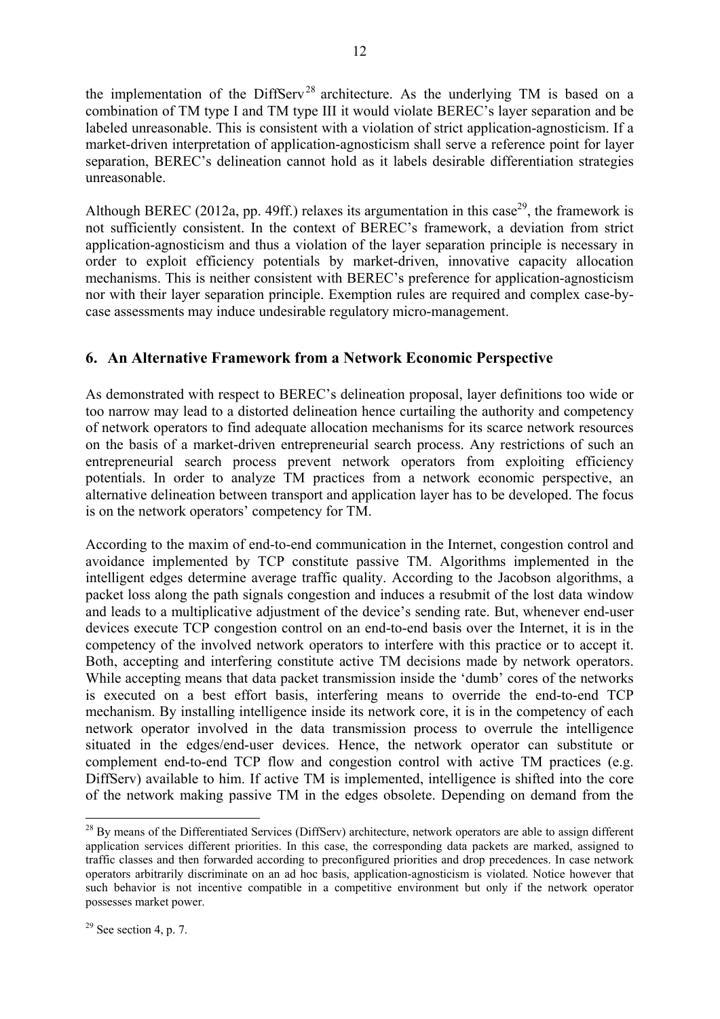the implementation of the DiffServ<sup>28</sup> architecture. As the underlying TM is based on a combination of TM type I and TM type III it would violate BEREC's layer separation and be labeled unreasonable. This is consistent with a violation of strict application-agnosticism. If a market-driven interpretation of application-agnosticism shall serve a reference point for layer separation, BEREC's delineation cannot hold as it labels desirable differentiation strategies unreasonable.

Although BEREC (2012a, pp. 49ff.) relaxes its argumentation in this case<sup>29</sup>, the framework is not sufficiently consistent. In the context of BEREC's framework, a deviation from strict application-agnosticism and thus a violation of the layer separation principle is necessary in order to exploit efficiency potentials by market-driven, innovative capacity allocation mechanisms. This is neither consistent with BEREC's preference for application-agnosticism nor with their layer separation principle. Exemption rules are required and complex case-bycase assessments may induce undesirable regulatory micro-management.

### **6. An Alternative Framework from a Network Economic Perspective**

As demonstrated with respect to BEREC's delineation proposal, layer definitions too wide or too narrow may lead to a distorted delineation hence curtailing the authority and competency of network operators to find adequate allocation mechanisms for its scarce network resources on the basis of a market-driven entrepreneurial search process. Any restrictions of such an entrepreneurial search process prevent network operators from exploiting efficiency potentials. In order to analyze TM practices from a network economic perspective, an alternative delineation between transport and application layer has to be developed. The focus is on the network operators' competency for TM.

According to the maxim of end-to-end communication in the Internet, congestion control and avoidance implemented by TCP constitute passive TM. Algorithms implemented in the intelligent edges determine average traffic quality. According to the Jacobson algorithms, a packet loss along the path signals congestion and induces a resubmit of the lost data window and leads to a multiplicative adjustment of the device's sending rate. But, whenever end-user devices execute TCP congestion control on an end-to-end basis over the Internet, it is in the competency of the involved network operators to interfere with this practice or to accept it. Both, accepting and interfering constitute active TM decisions made by network operators. While accepting means that data packet transmission inside the 'dumb' cores of the networks is executed on a best effort basis, interfering means to override the end-to-end TCP mechanism. By installing intelligence inside its network core, it is in the competency of each network operator involved in the data transmission process to overrule the intelligence situated in the edges/end-user devices. Hence, the network operator can substitute or complement end-to-end TCP flow and congestion control with active TM practices (e.g. DiffServ) available to him. If active TM is implemented, intelligence is shifted into the core of the network making passive TM in the edges obsolete. Depending on demand from the

<sup>&</sup>lt;sup>28</sup> By means of the Differentiated Services (DiffServ) architecture, network operators are able to assign different application services different priorities. In this case, the corresponding data packets are marked, assigned to traffic classes and then forwarded according to preconfigured priorities and drop precedences. In case network operators arbitrarily discriminate on an ad hoc basis, application-agnosticism is violated. Notice however that such behavior is not incentive compatible in a competitive environment but only if the network operator possesses market power.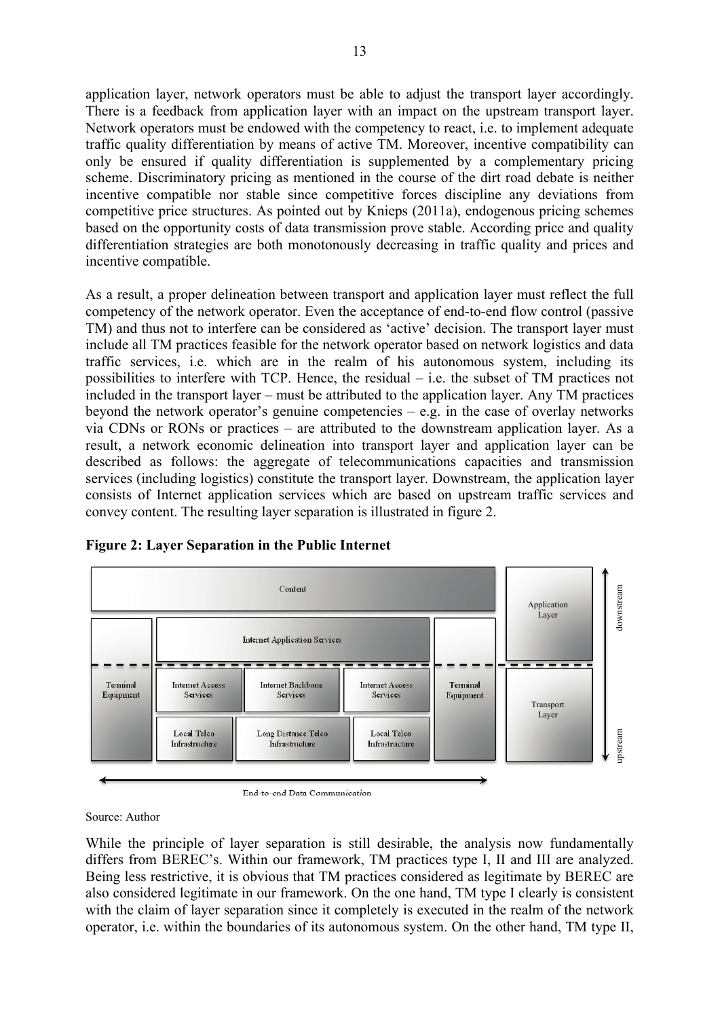application layer, network operators must be able to adjust the transport layer accordingly. There is a feedback from application layer with an impact on the upstream transport layer. Network operators must be endowed with the competency to react, i.e. to implement adequate traffic quality differentiation by means of active TM. Moreover, incentive compatibility can only be ensured if quality differentiation is supplemented by a complementary pricing scheme. Discriminatory pricing as mentioned in the course of the dirt road debate is neither incentive compatible nor stable since competitive forces discipline any deviations from competitive price structures. As pointed out by Knieps (2011a), endogenous pricing schemes based on the opportunity costs of data transmission prove stable. According price and quality differentiation strategies are both monotonously decreasing in traffic quality and prices and incentive compatible.

As a result, a proper delineation between transport and application layer must reflect the full competency of the network operator. Even the acceptance of end-to-end flow control (passive TM) and thus not to interfere can be considered as 'active' decision. The transport layer must include all TM practices feasible for the network operator based on network logistics and data traffic services, i.e. which are in the realm of his autonomous system, including its possibilities to interfere with TCP. Hence, the residual – i.e. the subset of TM practices not included in the transport layer – must be attributed to the application layer. Any TM practices beyond the network operator's genuine competencies – e.g. in the case of overlay networks via CDNs or RONs or practices – are attributed to the downstream application layer. As a result, a network economic delineation into transport layer and application layer can be described as follows: the aggregate of telecommunications capacities and transmission services (including logistics) constitute the transport layer. Downstream, the application layer consists of Internet application services which are based on upstream traffic services and convey content. The resulting layer separation is illustrated in figure 2.



#### **Figure 2: Layer Separation in the Public Internet**

Source: Author

While the principle of layer separation is still desirable, the analysis now fundamentally differs from BEREC's. Within our framework, TM practices type I, II and III are analyzed. Being less restrictive, it is obvious that TM practices considered as legitimate by BEREC are also considered legitimate in our framework. On the one hand, TM type I clearly is consistent with the claim of layer separation since it completely is executed in the realm of the network operator, i.e. within the boundaries of its autonomous system. On the other hand, TM type II,

End-to-end Data Communication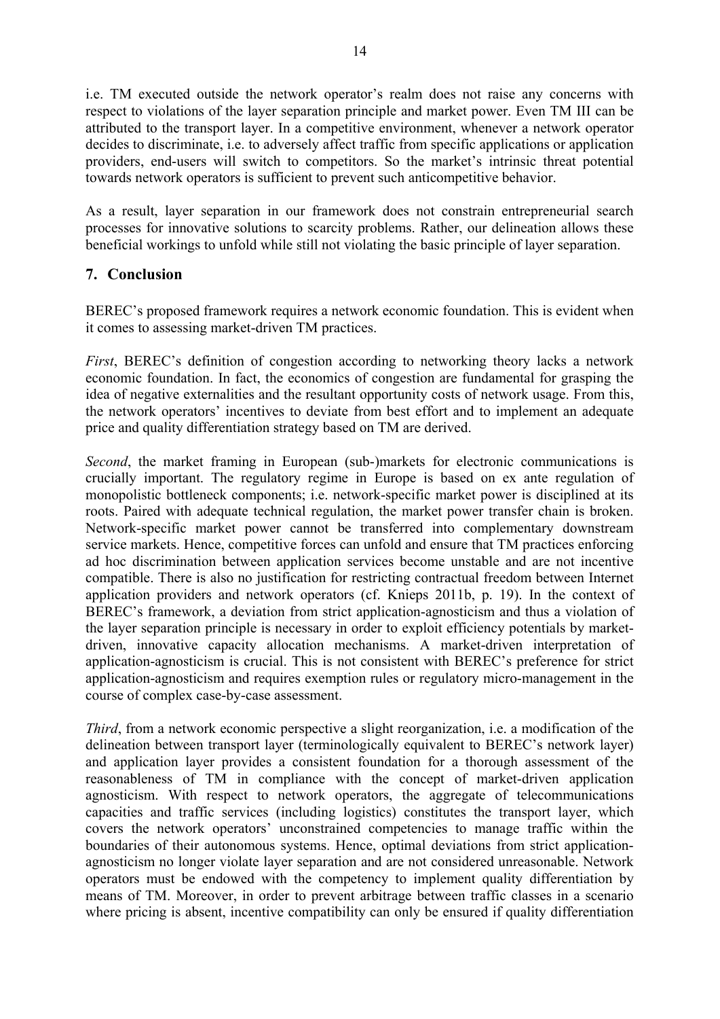i.e. TM executed outside the network operator's realm does not raise any concerns with respect to violations of the layer separation principle and market power. Even TM III can be attributed to the transport layer. In a competitive environment, whenever a network operator decides to discriminate, i.e. to adversely affect traffic from specific applications or application providers, end-users will switch to competitors. So the market's intrinsic threat potential towards network operators is sufficient to prevent such anticompetitive behavior.

As a result, layer separation in our framework does not constrain entrepreneurial search processes for innovative solutions to scarcity problems. Rather, our delineation allows these beneficial workings to unfold while still not violating the basic principle of layer separation.

#### **7. Conclusion**

BEREC's proposed framework requires a network economic foundation. This is evident when it comes to assessing market-driven TM practices.

*First*, BEREC's definition of congestion according to networking theory lacks a network economic foundation. In fact, the economics of congestion are fundamental for grasping the idea of negative externalities and the resultant opportunity costs of network usage. From this, the network operators' incentives to deviate from best effort and to implement an adequate price and quality differentiation strategy based on TM are derived.

*Second*, the market framing in European (sub-)markets for electronic communications is crucially important. The regulatory regime in Europe is based on ex ante regulation of monopolistic bottleneck components; i.e. network-specific market power is disciplined at its roots. Paired with adequate technical regulation, the market power transfer chain is broken. Network-specific market power cannot be transferred into complementary downstream service markets. Hence, competitive forces can unfold and ensure that TM practices enforcing ad hoc discrimination between application services become unstable and are not incentive compatible. There is also no justification for restricting contractual freedom between Internet application providers and network operators (cf. Knieps 2011b, p. 19). In the context of BEREC's framework, a deviation from strict application-agnosticism and thus a violation of the layer separation principle is necessary in order to exploit efficiency potentials by marketdriven, innovative capacity allocation mechanisms. A market-driven interpretation of application-agnosticism is crucial. This is not consistent with BEREC's preference for strict application-agnosticism and requires exemption rules or regulatory micro-management in the course of complex case-by-case assessment.

*Third*, from a network economic perspective a slight reorganization, i.e. a modification of the delineation between transport layer (terminologically equivalent to BEREC's network layer) and application layer provides a consistent foundation for a thorough assessment of the reasonableness of TM in compliance with the concept of market-driven application agnosticism. With respect to network operators, the aggregate of telecommunications capacities and traffic services (including logistics) constitutes the transport layer, which covers the network operators' unconstrained competencies to manage traffic within the boundaries of their autonomous systems. Hence, optimal deviations from strict applicationagnosticism no longer violate layer separation and are not considered unreasonable. Network operators must be endowed with the competency to implement quality differentiation by means of TM. Moreover, in order to prevent arbitrage between traffic classes in a scenario where pricing is absent, incentive compatibility can only be ensured if quality differentiation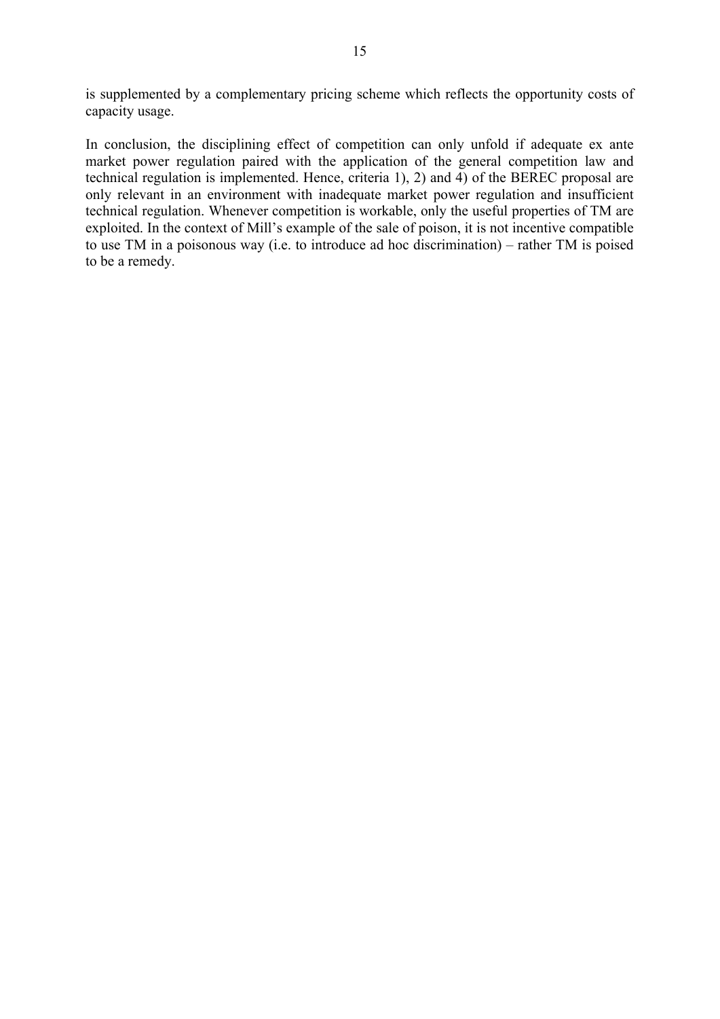is supplemented by a complementary pricing scheme which reflects the opportunity costs of capacity usage.

In conclusion, the disciplining effect of competition can only unfold if adequate ex ante market power regulation paired with the application of the general competition law and technical regulation is implemented. Hence, criteria 1), 2) and 4) of the BEREC proposal are only relevant in an environment with inadequate market power regulation and insufficient technical regulation. Whenever competition is workable, only the useful properties of TM are exploited. In the context of Mill's example of the sale of poison, it is not incentive compatible to use TM in a poisonous way (i.e. to introduce ad hoc discrimination) – rather TM is poised to be a remedy.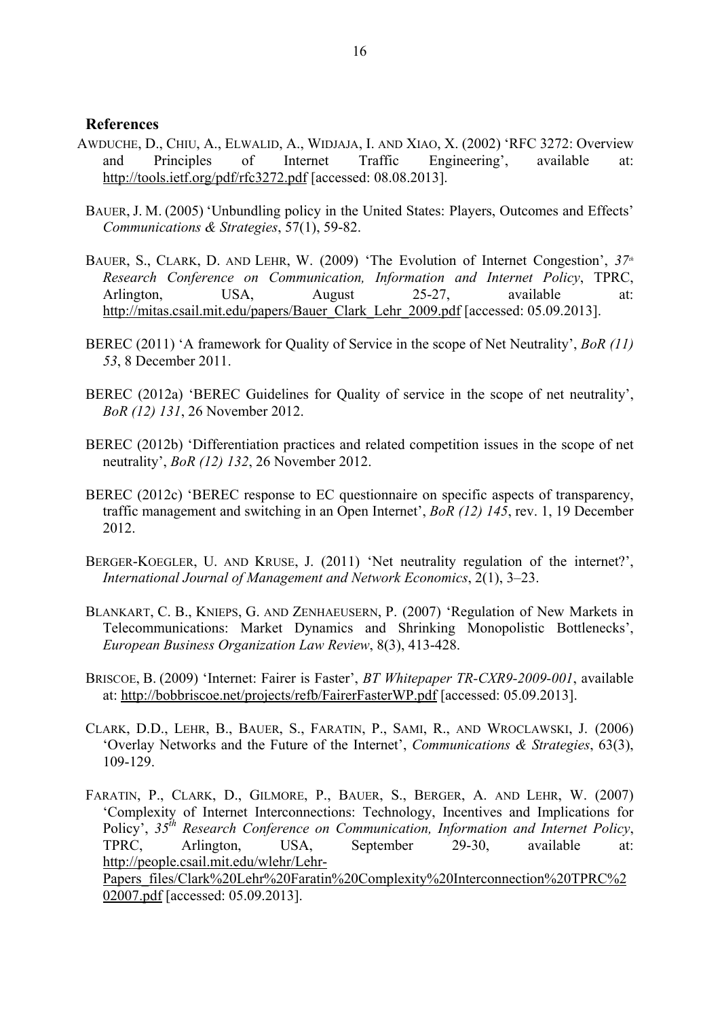#### **References**

- AWDUCHE, D., CHIU, A., ELWALID, A., WIDJAJA, I. AND XIAO, X. (2002) 'RFC 3272: Overview and Principles of Internet Traffic Engineering', available at: http://tools.ietf.org/pdf/rfc3272.pdf [accessed: 08.08.2013].
- BAUER, J. M. (2005) 'Unbundling policy in the United States: Players, Outcomes and Effects' *Communications & Strategies*, 57(1), 59-82.
- BAUER, S., CLARK, D. AND LEHR, W. (2009) 'The Evolution of Internet Congestion',  $37<sup>th</sup>$ *Research Conference on Communication, Information and Internet Policy*, TPRC, Arlington, USA, August 25-27, available at: http://mitas.csail.mit.edu/papers/Bauer\_Clark\_Lehr\_2009.pdf [accessed: 05.09.2013].
- BEREC (2011) 'A framework for Quality of Service in the scope of Net Neutrality', *BoR (11) 53*, 8 December 2011.
- BEREC (2012a) 'BEREC Guidelines for Quality of service in the scope of net neutrality', *BoR (12) 131*, 26 November 2012.
- BEREC (2012b) 'Differentiation practices and related competition issues in the scope of net neutrality', *BoR (12) 132*, 26 November 2012.
- BEREC (2012c) 'BEREC response to EC questionnaire on specific aspects of transparency, traffic management and switching in an Open Internet', *BoR (12) 145*, rev. 1, 19 December 2012.
- BERGER-KOEGLER, U. AND KRUSE, J. (2011) 'Net neutrality regulation of the internet?', *International Journal of Management and Network Economics*, 2(1), 3–23.
- BLANKART, C. B., KNIEPS, G. AND ZENHAEUSERN, P. (2007) 'Regulation of New Markets in Telecommunications: Market Dynamics and Shrinking Monopolistic Bottlenecks', *European Business Organization Law Review*, 8(3), 413-428.
- BRISCOE, B. (2009) 'Internet: Fairer is Faster', *BT Whitepaper TR-CXR9-2009-001*, available at: http://bobbriscoe.net/projects/refb/FairerFasterWP.pdf [accessed: 05.09.2013].
- CLARK, D.D., LEHR, B., BAUER, S., FARATIN, P., SAMI, R., AND WROCLAWSKI, J. (2006) 'Overlay Networks and the Future of the Internet', *Communications & Strategies*, 63(3), 109-129.
- FARATIN, P., CLARK, D., GILMORE, P., BAUER, S., BERGER, A. AND LEHR, W. (2007) 'Complexity of Internet Interconnections: Technology, Incentives and Implications for Policy', *35th Research Conference on Communication, Information and Internet Policy*, TPRC, Arlington, USA, September 29-30, available at: http://people.csail.mit.edu/wlehr/Lehr-Papers\_files/Clark%20Lehr%20Faratin%20Complexity%20Interconnection%20TPRC%2

02007.pdf [accessed: 05.09.2013].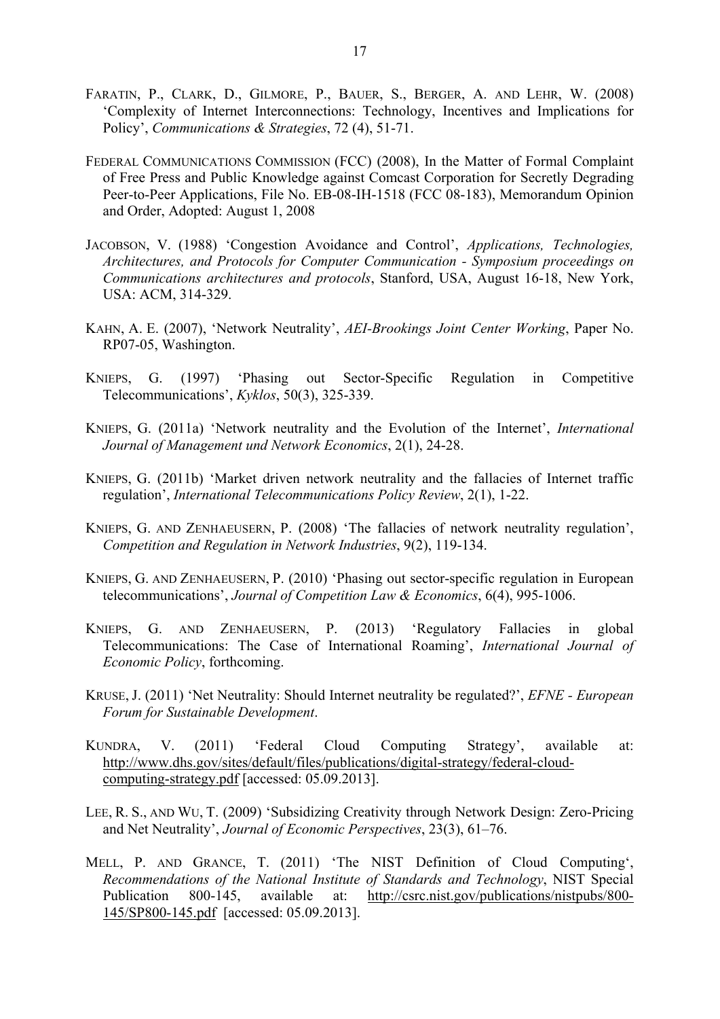- FARATIN, P., CLARK, D., GILMORE, P., BAUER, S., BERGER, A. AND LEHR, W. (2008) 'Complexity of Internet Interconnections: Technology, Incentives and Implications for Policy', *Communications & Strategies*, 72 (4), 51-71.
- FEDERAL COMMUNICATIONS COMMISSION (FCC) (2008), In the Matter of Formal Complaint of Free Press and Public Knowledge against Comcast Corporation for Secretly Degrading Peer-to-Peer Applications, File No. EB-08-IH-1518 (FCC 08-183), Memorandum Opinion and Order, Adopted: August 1, 2008
- JACOBSON, V. (1988) 'Congestion Avoidance and Control', *Applications, Technologies, Architectures, and Protocols for Computer Communication - Symposium proceedings on Communications architectures and protocols*, Stanford, USA, August 16-18, New York, USA: ACM, 314-329.
- KAHN, A. E. (2007), 'Network Neutrality', *AEI-Brookings Joint Center Working*, Paper No. RP07-05, Washington.
- KNIEPS, G. (1997) 'Phasing out Sector-Specific Regulation in Competitive Telecommunications', *Kyklos*, 50(3), 325-339.
- KNIEPS, G. (2011a) 'Network neutrality and the Evolution of the Internet', *International Journal of Management und Network Economics*, 2(1), 24-28.
- KNIEPS, G. (2011b) 'Market driven network neutrality and the fallacies of Internet traffic regulation', *International Telecommunications Policy Review*, 2(1), 1-22.
- KNIEPS, G. AND ZENHAEUSERN, P. (2008) 'The fallacies of network neutrality regulation', *Competition and Regulation in Network Industries*, 9(2), 119-134.
- KNIEPS, G. AND ZENHAEUSERN, P. (2010) 'Phasing out sector-specific regulation in European telecommunications', *Journal of Competition Law & Economics*, 6(4), 995-1006.
- KNIEPS, G. AND ZENHAEUSERN, P. (2013) 'Regulatory Fallacies in global Telecommunications: The Case of International Roaming', *International Journal of Economic Policy*, forthcoming.
- KRUSE, J. (2011) 'Net Neutrality: Should Internet neutrality be regulated?', *EFNE European Forum for Sustainable Development*.
- KUNDRA, V. (2011) 'Federal Cloud Computing Strategy', available at: http://www.dhs.gov/sites/default/files/publications/digital-strategy/federal-cloudcomputing-strategy.pdf [accessed: 05.09.2013].
- LEE, R. S., AND WU, T. (2009) 'Subsidizing Creativity through Network Design: Zero-Pricing and Net Neutrality', *Journal of Economic Perspectives*, 23(3), 61–76.
- MELL, P. AND GRANCE, T. (2011) 'The NIST Definition of Cloud Computing', *Recommendations of the National Institute of Standards and Technology*, NIST Special Publication 800-145, available at: http://csrc.nist.gov/publications/nistpubs/800- 145/SP800-145.pdf [accessed: 05.09.2013].